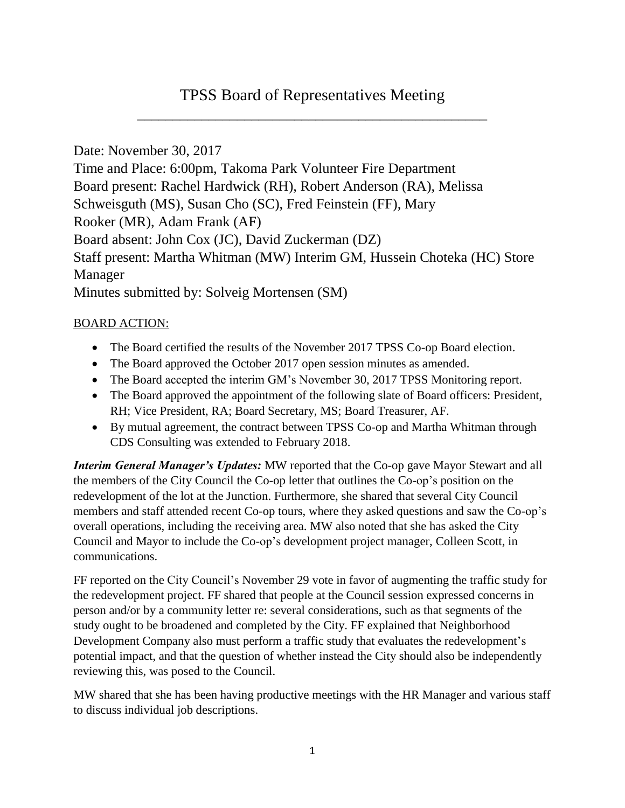# TPSS Board of Representatives Meeting \_\_\_\_\_\_\_\_\_\_\_\_\_\_\_\_\_\_\_\_\_\_\_\_\_\_\_\_\_\_\_\_\_\_\_\_\_\_\_\_\_\_\_\_\_\_\_\_\_

Date: November 30, 2017 Time and Place: 6:00pm, Takoma Park Volunteer Fire Department Board present: Rachel Hardwick (RH), Robert Anderson (RA), Melissa Schweisguth (MS), Susan Cho (SC), Fred Feinstein (FF), Mary Rooker (MR), Adam Frank (AF) Board absent: John Cox (JC), David Zuckerman (DZ) Staff present: Martha Whitman (MW) Interim GM, Hussein Choteka (HC) Store Manager Minutes submitted by: Solveig Mortensen (SM)

### BOARD ACTION:

- The Board certified the results of the November 2017 TPSS Co-op Board election.
- The Board approved the October 2017 open session minutes as amended.
- The Board accepted the interim GM's November 30, 2017 TPSS Monitoring report.
- The Board approved the appointment of the following slate of Board officers: President, RH; Vice President, RA; Board Secretary, MS; Board Treasurer, AF.
- By mutual agreement, the contract between TPSS Co-op and Martha Whitman through CDS Consulting was extended to February 2018.

*Interim General Manager's Updates:* MW reported that the Co-op gave Mayor Stewart and all the members of the City Council the Co-op letter that outlines the Co-op's position on the redevelopment of the lot at the Junction. Furthermore, she shared that several City Council members and staff attended recent Co-op tours, where they asked questions and saw the Co-op's overall operations, including the receiving area. MW also noted that she has asked the City Council and Mayor to include the Co-op's development project manager, Colleen Scott, in communications.

FF reported on the City Council's November 29 vote in favor of augmenting the traffic study for the redevelopment project. FF shared that people at the Council session expressed concerns in person and/or by a community letter re: several considerations, such as that segments of the study ought to be broadened and completed by the City. FF explained that Neighborhood Development Company also must perform a traffic study that evaluates the redevelopment's potential impact, and that the question of whether instead the City should also be independently reviewing this, was posed to the Council.

MW shared that she has been having productive meetings with the HR Manager and various staff to discuss individual job descriptions.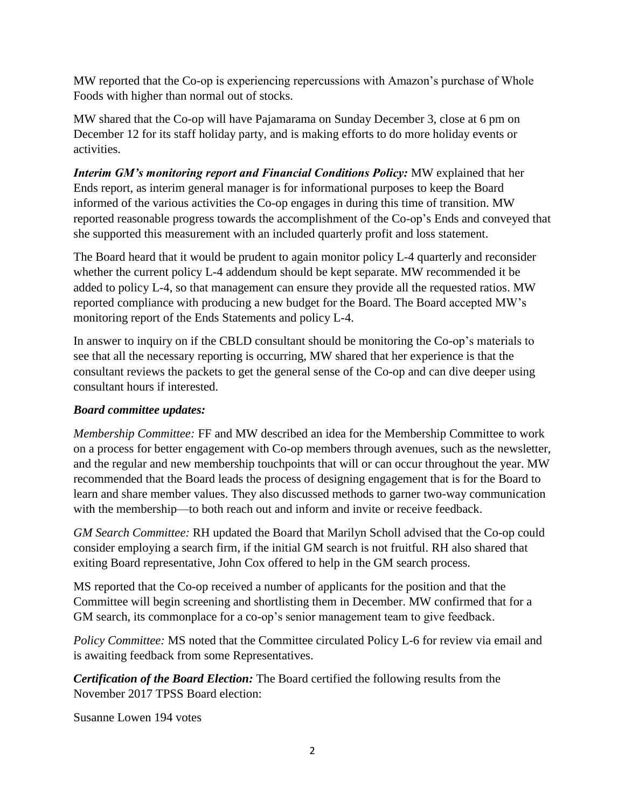MW reported that the Co-op is experiencing repercussions with Amazon's purchase of Whole Foods with higher than normal out of stocks.

MW shared that the Co-op will have Pajamarama on Sunday December 3, close at 6 pm on December 12 for its staff holiday party, and is making efforts to do more holiday events or activities.

*Interim GM's monitoring report and Financial Conditions Policy:* **MW explained that her** Ends report, as interim general manager is for informational purposes to keep the Board informed of the various activities the Co-op engages in during this time of transition. MW reported reasonable progress towards the accomplishment of the Co-op's Ends and conveyed that she supported this measurement with an included quarterly profit and loss statement.

The Board heard that it would be prudent to again monitor policy L-4 quarterly and reconsider whether the current policy L-4 addendum should be kept separate. MW recommended it be added to policy L-4, so that management can ensure they provide all the requested ratios. MW reported compliance with producing a new budget for the Board. The Board accepted MW's monitoring report of the Ends Statements and policy L-4.

In answer to inquiry on if the CBLD consultant should be monitoring the Co-op's materials to see that all the necessary reporting is occurring, MW shared that her experience is that the consultant reviews the packets to get the general sense of the Co-op and can dive deeper using consultant hours if interested.

## *Board committee updates:*

*Membership Committee:* FF and MW described an idea for the Membership Committee to work on a process for better engagement with Co-op members through avenues, such as the newsletter, and the regular and new membership touchpoints that will or can occur throughout the year. MW recommended that the Board leads the process of designing engagement that is for the Board to learn and share member values. They also discussed methods to garner two-way communication with the membership—to both reach out and inform and invite or receive feedback.

*GM Search Committee:* RH updated the Board that Marilyn Scholl advised that the Co-op could consider employing a search firm, if the initial GM search is not fruitful. RH also shared that exiting Board representative, John Cox offered to help in the GM search process.

MS reported that the Co-op received a number of applicants for the position and that the Committee will begin screening and shortlisting them in December. MW confirmed that for a GM search, its commonplace for a co-op's senior management team to give feedback.

*Policy Committee:* MS noted that the Committee circulated Policy L-6 for review via email and is awaiting feedback from some Representatives.

*Certification of the Board Election:* The Board certified the following results from the November 2017 TPSS Board election:

Susanne Lowen 194 votes